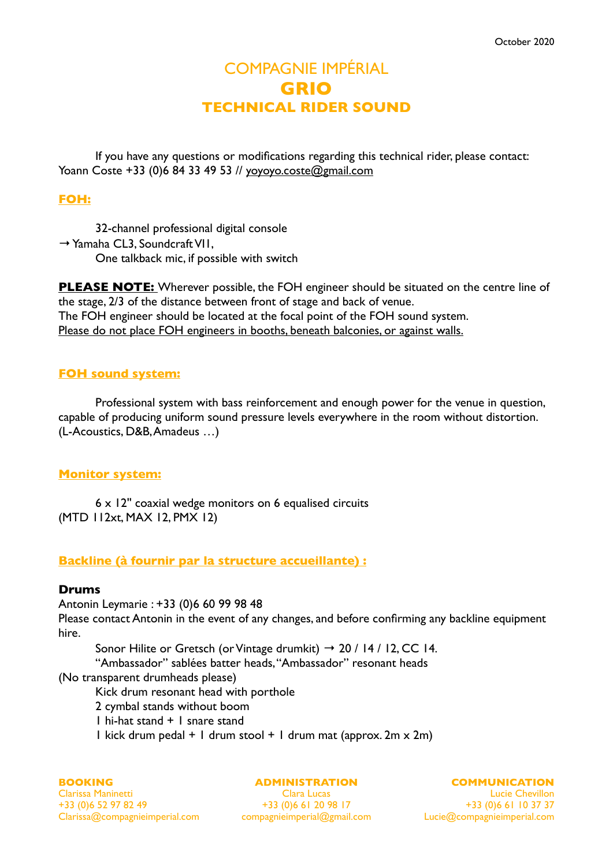# COMPAGNIE IMPÉRIAL **GRIO TECHNICAL RIDER SOUND**

If you have any questions or modifications regarding this technical rider, please contact: Yoann Coste +33 (0)6 84 33 49 53 // [yoyoyo.coste@gmail.com](mailto:yoyoyo.coste@gmail.com)

# **FOH:**

32-channel professional digital console  $\rightarrow$  Yamaha CL3, Soundcraft VII, One talkback mic, if possible with switch

**PLEASE NOTE:** Wherever possible, the FOH engineer should be situated on the centre line of the stage, 2/3 of the distance between front of stage and back of venue. The FOH engineer should be located at the focal point of the FOH sound system. Please do not place FOH engineers in booths, beneath balconies, or against walls.

# **FOH sound system:**

Professional system with bass reinforcement and enough power for the venue in question, capable of producing uniform sound pressure levels everywhere in the room without distortion. (L-Acoustics, D&B, Amadeus …)

# **Monitor system:**

6 x 12'' coaxial wedge monitors on 6 equalised circuits (MTD 112xt, MAX 12, PMX 12)

# **Backline (à fournir par la structure accueillante) :**

## **Drums**

Antonin Leymarie : +33 (0)6 60 99 98 48

Please contact Antonin in the event of any changes, and before confirming any backline equipment hire.

Sonor Hilite or Gretsch (or Vintage drumkit)  $\rightarrow$  20 / 14 / 12, CC 14.

"Ambassador" sablées batter heads, "Ambassador" resonant heads

(No transparent drumheads please)

Kick drum resonant head with porthole

- 2 cymbal stands without boom
- 1 hi-hat stand + 1 snare stand
- 1 kick drum pedal + 1 drum stool + 1 drum mat (approx.  $2m \times 2m$ )

#### **BOOKING**

Clarissa Maninetti +33 (0)6 52 97 82 49 Clarissa@compagnieimperial.com compagnieimperial@gmail.com

#### **ADMINISTRATION**

Clara Lucas +33 (0)6 61 20 98 17 **COMMUNICATION**

Lucie Chevillon +33 (0)6 61 10 37 37 Lucie@compagnieimperial.com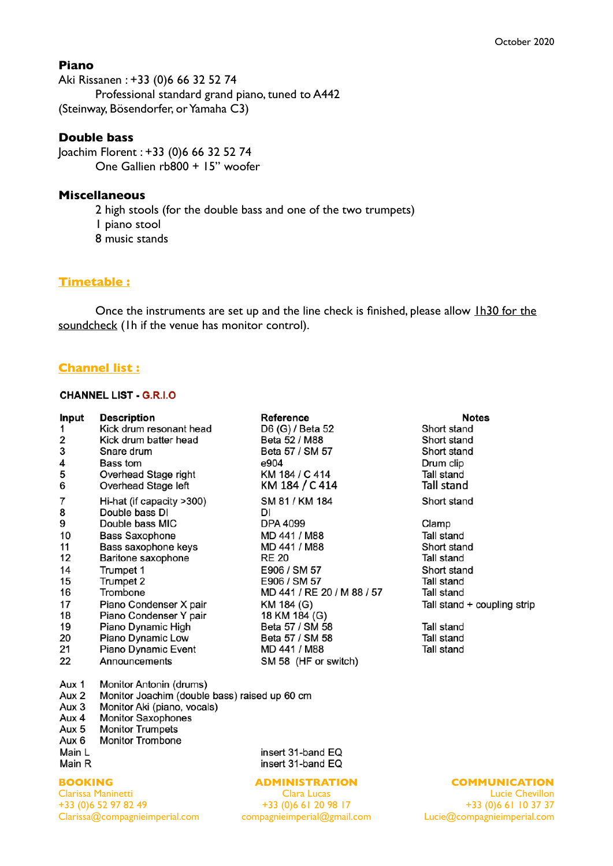### **Piano**

Aki Rissanen : +33 (0)6 66 32 52 74 Professional standard grand piano, tuned to A442 (Steinway, Bösendorfer, or Yamaha C3)

## **Double bass**

Joachim Florent : +33 (0)6 66 32 52 74 One Gallien rb800 + 15'' woofer

#### **Miscellaneous**

2 high stools (for the double bass and one of the two trumpets) 1 piano stool 8 music stands

## **Timetable :**

Once the instruments are set up and the line check is finished, please allow 1h30 for the soundcheck (1h if the venue has monitor control).

## **Channel list :**

#### **CHANNEL LIST - G.R.I.O**

| Input | <b>Description</b>                             | Reference                  | <b>Notes</b>                |
|-------|------------------------------------------------|----------------------------|-----------------------------|
| 1     | Kick drum resonant head                        | D6 (G) / Beta 52           | Short stand                 |
| 2     | Kick drum batter head                          | Beta 52 / M88              | Short stand                 |
| 3     | Snare drum                                     | Beta 57 / SM 57            | Short stand                 |
| 4     | Bass tom                                       | e904                       | Drum clip                   |
| 5     | Overhead Stage right                           | KM 184 / C 414             | Tall stand                  |
| 6     | Overhead Stage left                            | KM 184 / C 414             | Tall stand                  |
| 7     | Hi-hat (if capacity >300)                      | SM 81 / KM 184             | Short stand                 |
| 8     | Double bass DI                                 | DI                         |                             |
| 9     | Double bass MIC                                | DPA 4099                   | Clamp                       |
| 10    | Bass Saxophone                                 | MD 441 / M88               | Tall stand                  |
| 11    | Bass saxophone keys                            | MD 441 / M88               | Short stand                 |
| 12    | Baritone saxophone                             | <b>RE 20</b>               | Tall stand                  |
| 14    | Trumpet 1                                      | E906 / SM 57               | Short stand                 |
| 15    | Trumpet 2                                      | E906 / SM 57               | Tall stand                  |
| 16    | Trombone                                       | MD 441 / RE 20 / M 88 / 57 | Tall stand                  |
| 17    | Piano Condenser X pair                         | KM 184 (G)                 | Tall stand + coupling strip |
| 18    | Piano Condenser Y pair                         | 18 KM 184 (G)              |                             |
| 19    | Piano Dynamic High                             | Beta 57 / SM 58            | Tall stand                  |
| 20    | Piano Dynamic Low                              | Beta 57 / SM 58            | Tall stand                  |
| 21    | Piano Dynamic Event                            | MD 441 / M88               | Tall stand                  |
| 22    | Announcements                                  | SM 58 (HF or switch)       |                             |
| Aux 1 | Monitor Antonin (drums)                        |                            |                             |
|       | Menites Leeskins (deukle hees) seised us CO as |                            |                             |

- Aux 2 Monitor Joachim (double bass) raised up 60 cm
- Aux 3 Monitor Aki (piano, vocals)
- Aux 4 Monitor Saxophones
- Aux 5 Monitor Trumpets
- Aux 6 Monitor Trombone
- Main L
- Main R

#### **BOOKING**

Clarissa Maninetti +33 (0)6 52 97 82 49 Clarissa@compagnieimperial.com

insert 31-band EQ insert 31-band EQ

#### **ADMINISTRATION**

Clara Lucas +33 (0)6 61 20 98 17 compagnieimperial@gmail.com **COMMUNICATION**

Lucie Chevillon +33 (0)6 61 10 37 37 Lucie@compagnieimperial.com